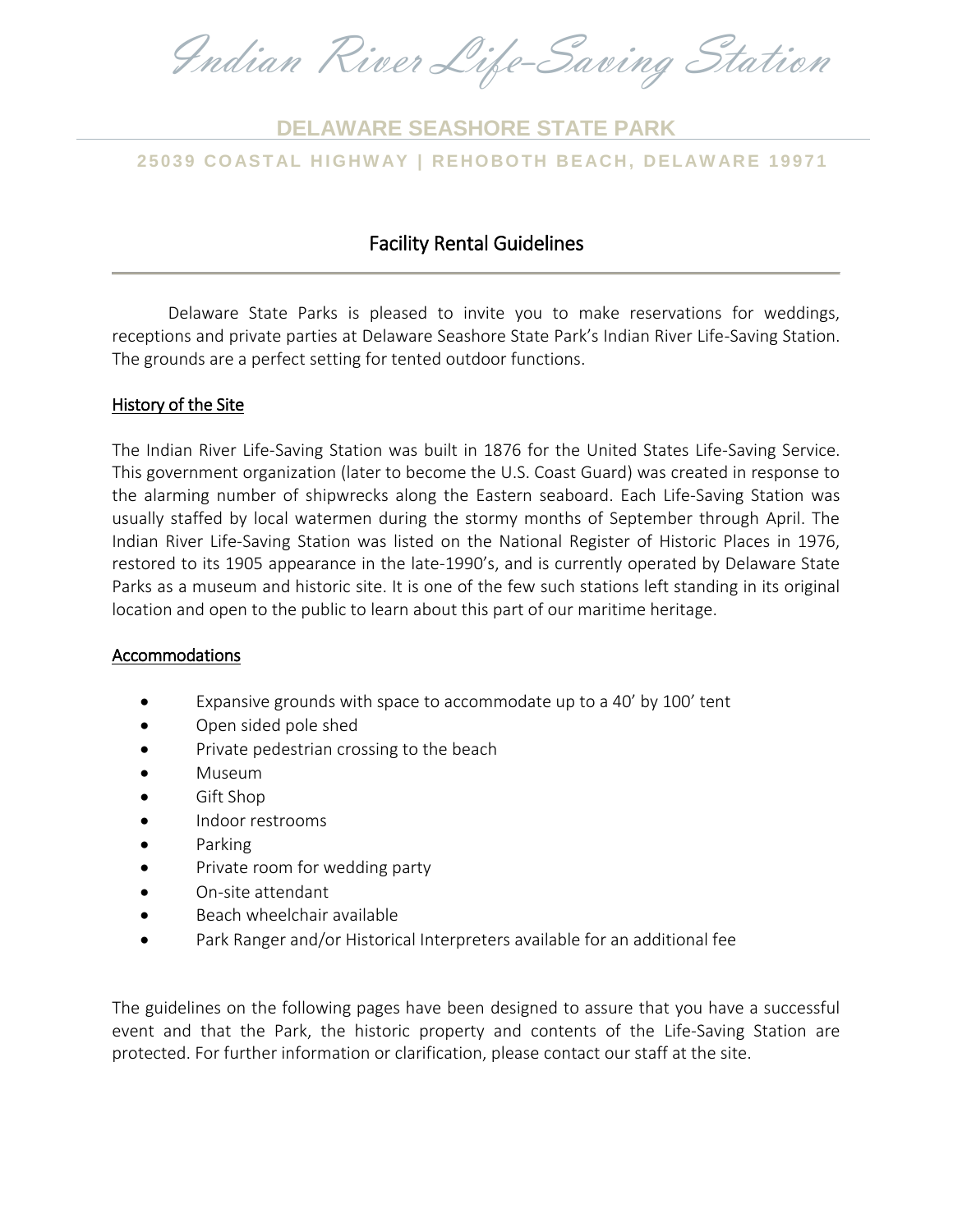Indian River Life-Saving Station

# **25039 CO AS T AL H I G HW AY | REHO BO TH BE ACH, DELAW AR E 19971 DELAWARE SEASHORE STATE PARK**

### Facility Rental Guidelines

Delaware State Parks is pleased to invite you to make reservations for weddings, receptions and private parties at Delaware Seashore State Park's Indian River Life-Saving Station. The grounds are a perfect setting for tented outdoor functions.

#### History of the Site

The Indian River Life-Saving Station was built in 1876 for the United States Life-Saving Service. This government organization (later to become the U.S. Coast Guard) was created in response to the alarming number of shipwrecks along the Eastern seaboard. Each Life-Saving Station was usually staffed by local watermen during the stormy months of September through April. The Indian River Life-Saving Station was listed on the National Register of Historic Places in 1976, restored to its 1905 appearance in the late-1990's, and is currently operated by Delaware State Parks as a museum and historic site. It is one of the few such stations left standing in its original location and open to the public to learn about this part of our maritime heritage.

#### Accommodations

- Expansive grounds with space to accommodate up to a 40' by 100' tent
- Open sided pole shed
- Private pedestrian crossing to the beach
- Museum
- Gift Shop
- Indoor restrooms
- Parking
- Private room for wedding party
- On-site attendant
- Beach wheelchair available
- Park Ranger and/or Historical Interpreters available for an additional fee

The guidelines on the following pages have been designed to assure that you have a successful event and that the Park, the historic property and contents of the Life-Saving Station are protected. For further information or clarification, please contact our staff at the site.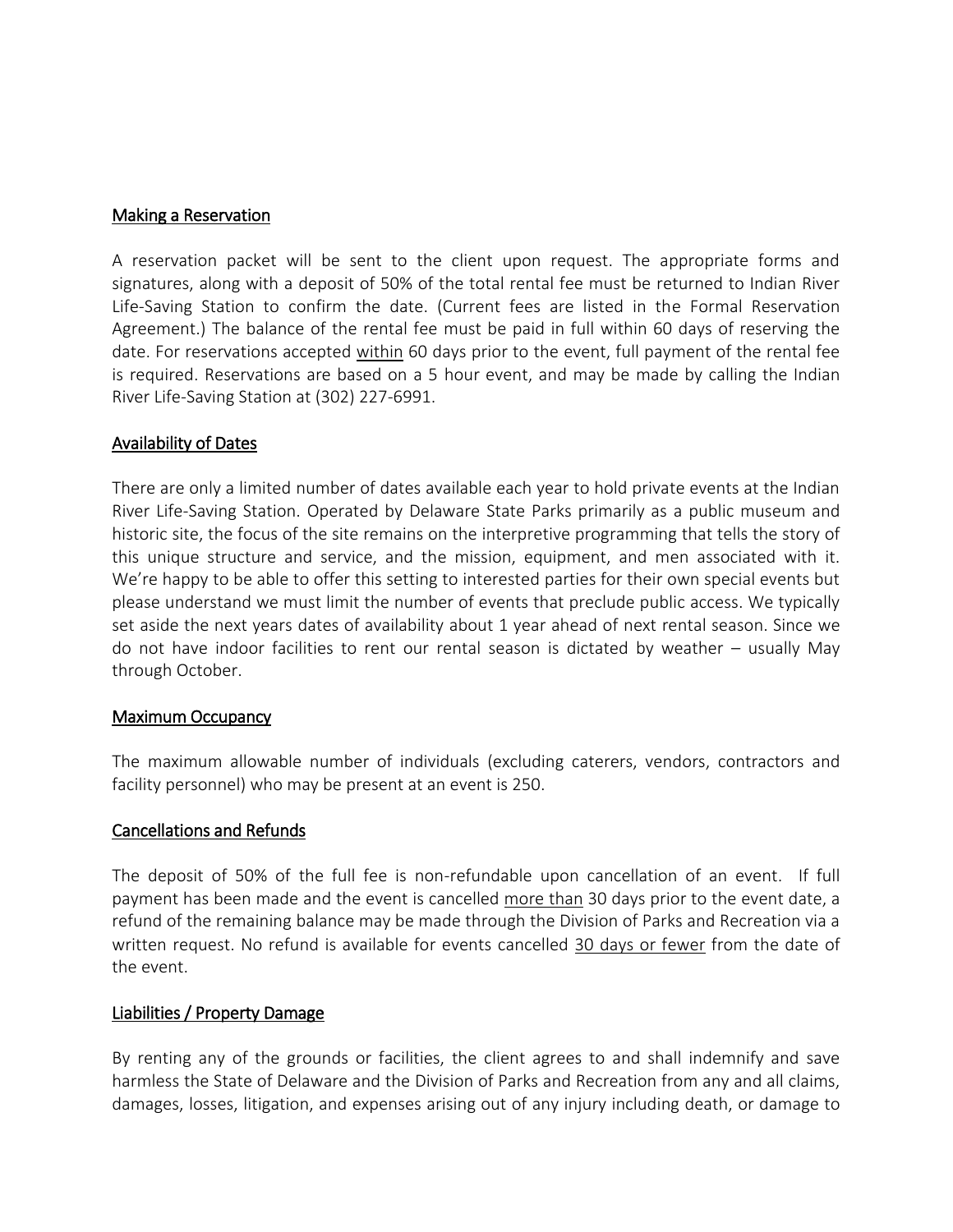#### Making a Reservation

A reservation packet will be sent to the client upon request. The appropriate forms and signatures, along with a deposit of 50% of the total rental fee must be returned to Indian River Life-Saving Station to confirm the date. (Current fees are listed in the Formal Reservation Agreement.) The balance of the rental fee must be paid in full within 60 days of reserving the date. For reservations accepted within 60 days prior to the event, full payment of the rental fee is required. Reservations are based on a 5 hour event, and may be made by calling the Indian River Life-Saving Station at (302) 227-6991.

#### Availability of Dates

There are only a limited number of dates available each year to hold private events at the Indian River Life-Saving Station. Operated by Delaware State Parks primarily as a public museum and historic site, the focus of the site remains on the interpretive programming that tells the story of this unique structure and service, and the mission, equipment, and men associated with it. We're happy to be able to offer this setting to interested parties for their own special events but please understand we must limit the number of events that preclude public access. We typically set aside the next years dates of availability about 1 year ahead of next rental season. Since we do not have indoor facilities to rent our rental season is dictated by weather – usually May through October.

#### Maximum Occupancy

The maximum allowable number of individuals (excluding caterers, vendors, contractors and facility personnel) who may be present at an event is 250.

### Cancellations and Refunds

The deposit of 50% of the full fee is non-refundable upon cancellation of an event. If full payment has been made and the event is cancelled more than 30 days prior to the event date, a refund of the remaining balance may be made through the Division of Parks and Recreation via a written request. No refund is available for events cancelled 30 days or fewer from the date of the event.

#### Liabilities / Property Damage

By renting any of the grounds or facilities, the client agrees to and shall indemnify and save harmless the State of Delaware and the Division of Parks and Recreation from any and all claims, damages, losses, litigation, and expenses arising out of any injury including death, or damage to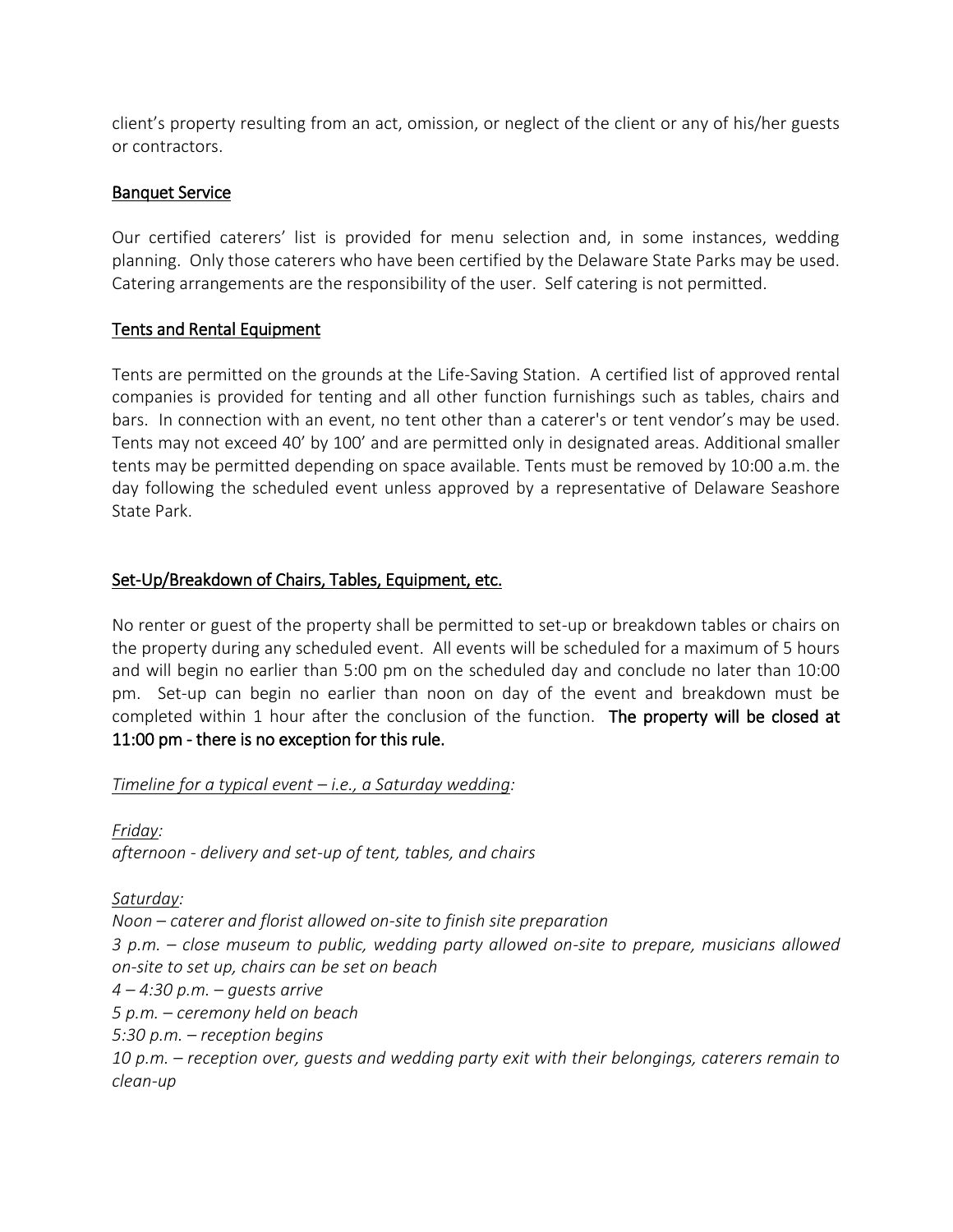client's property resulting from an act, omission, or neglect of the client or any of his/her guests or contractors.

### Banquet Service

Our certified caterers' list is provided for menu selection and, in some instances, wedding planning. Only those caterers who have been certified by the Delaware State Parks may be used. Catering arrangements are the responsibility of the user. Self catering is not permitted.

### Tents and Rental Equipment

Tents are permitted on the grounds at the Life-Saving Station. A certified list of approved rental companies is provided for tenting and all other function furnishings such as tables, chairs and bars. In connection with an event, no tent other than a caterer's or tent vendor's may be used. Tents may not exceed 40' by 100' and are permitted only in designated areas. Additional smaller tents may be permitted depending on space available. Tents must be removed by 10:00 a.m. the day following the scheduled event unless approved by a representative of Delaware Seashore State Park.

### Set-Up/Breakdown of Chairs, Tables, Equipment, etc.

No renter or guest of the property shall be permitted to set-up or breakdown tables or chairs on the property during any scheduled event. All events will be scheduled for a maximum of 5 hours and will begin no earlier than 5:00 pm on the scheduled day and conclude no later than 10:00 pm. Set-up can begin no earlier than noon on day of the event and breakdown must be completed within 1 hour after the conclusion of the function. The property will be closed at 11:00 pm - there is no exception for this rule.

#### *Timeline for a typical event – i.e., a Saturday wedding:*

*Friday: afternoon - delivery and set-up of tent, tables, and chairs*

#### *Saturday:*

*Noon – caterer and florist allowed on-site to finish site preparation 3 p.m. – close museum to public, wedding party allowed on-site to prepare, musicians allowed on-site to set up, chairs can be set on beach 4 – 4:30 p.m. – guests arrive 5 p.m. – ceremony held on beach 5:30 p.m. – reception begins 10 p.m. – reception over, guests and wedding party exit with their belongings, caterers remain to clean-up*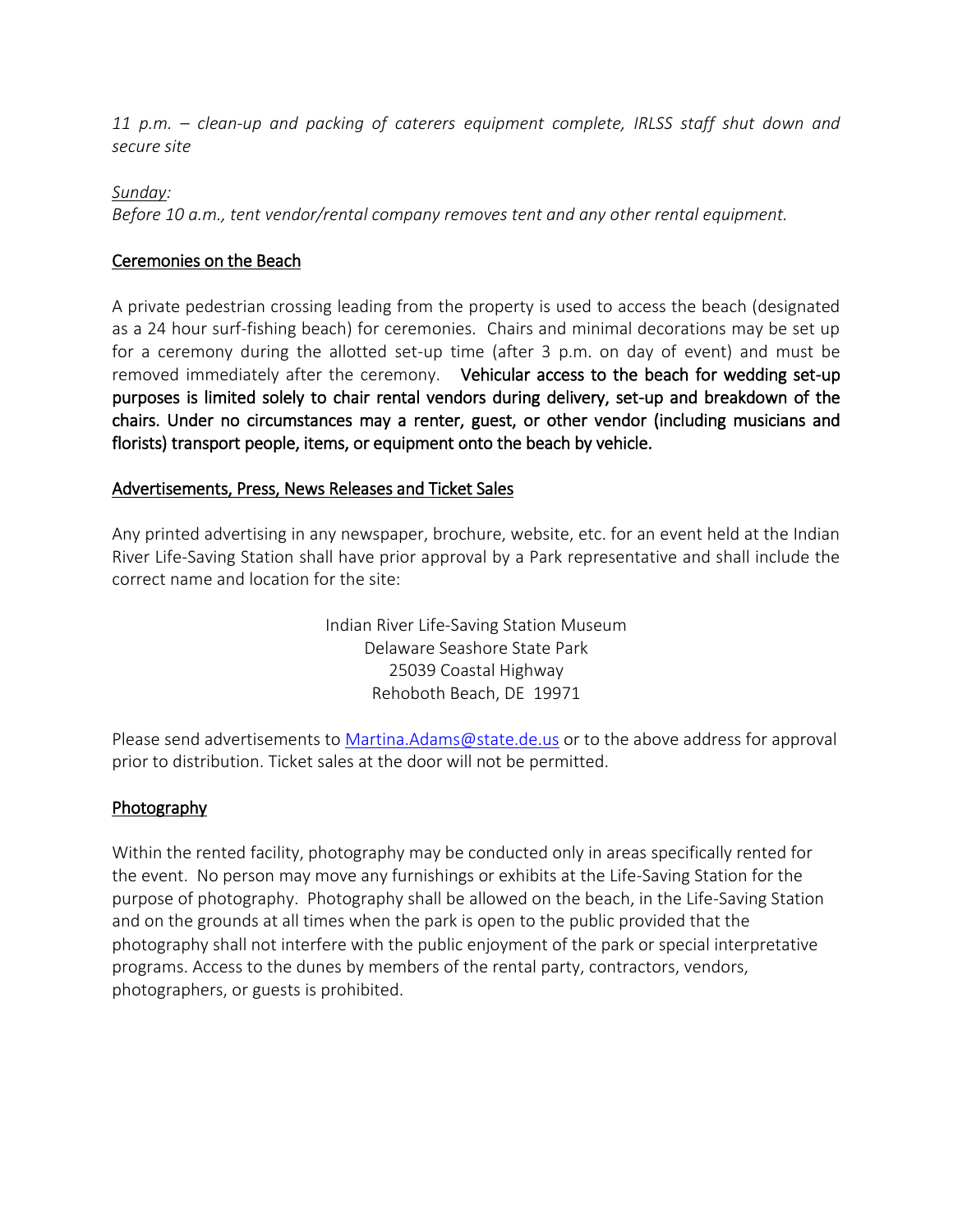*11 p.m. – clean-up and packing of caterers equipment complete, IRLSS staff shut down and secure site*

#### *Sunday:*

*Before 10 a.m., tent vendor/rental company removes tent and any other rental equipment.*

### Ceremonies on the Beach

A private pedestrian crossing leading from the property is used to access the beach (designated as a 24 hour surf-fishing beach) for ceremonies. Chairs and minimal decorations may be set up for a ceremony during the allotted set-up time (after 3 p.m. on day of event) and must be removed immediately after the ceremony. Vehicular access to the beach for wedding set-up purposes is limited solely to chair rental vendors during delivery, set-up and breakdown of the chairs. Under no circumstances may a renter, guest, or other vendor (including musicians and florists) transport people, items, or equipment onto the beach by vehicle.

## Advertisements, Press, News Releases and Ticket Sales

Any printed advertising in any newspaper, brochure, website, etc. for an event held at the Indian River Life-Saving Station shall have prior approval by a Park representative and shall include the correct name and location for the site:

> Indian River Life-Saving Station Museum Delaware Seashore State Park 25039 Coastal Highway Rehoboth Beach, DE 19971

Please send advertisements to [Martina.Adams@state.de.us](file://///DNRECFP01/parks/00%20Special%20Event%20&%20Meeting%20Facilities%20-copy/2017%20Rental%20Venues/IRLSS/word%20docs/Martina.Adams@state.de.us%20) or to the above address for approval prior to distribution. Ticket sales at the door will not be permitted.

### Photography

Within the rented facility, photography may be conducted only in areas specifically rented for the event. No person may move any furnishings or exhibits at the Life-Saving Station for the purpose of photography. Photography shall be allowed on the beach, in the Life-Saving Station and on the grounds at all times when the park is open to the public provided that the photography shall not interfere with the public enjoyment of the park or special interpretative programs. Access to the dunes by members of the rental party, contractors, vendors, photographers, or guests is prohibited.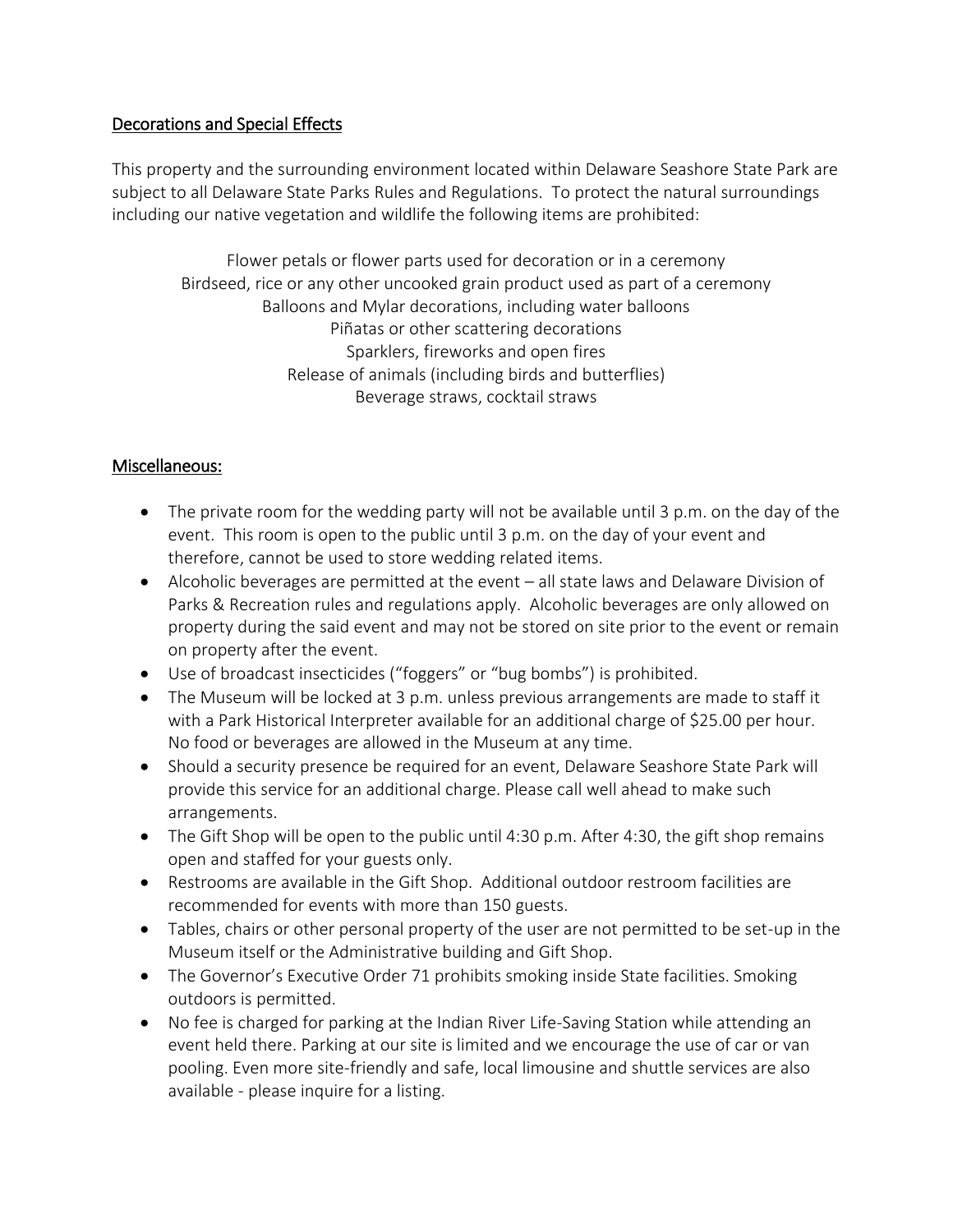### Decorations and Special Effects

This property and the surrounding environment located within Delaware Seashore State Park are subject to all Delaware State Parks Rules and Regulations. To protect the natural surroundings including our native vegetation and wildlife the following items are prohibited:

Flower petals or flower parts used for decoration or in a ceremony Birdseed, rice or any other uncooked grain product used as part of a ceremony Balloons and Mylar decorations, including water balloons Piñatas or other scattering decorations Sparklers, fireworks and open fires Release of animals (including birds and butterflies) Beverage straws, cocktail straws

## Miscellaneous:

- The private room for the wedding party will not be available until 3 p.m. on the day of the event. This room is open to the public until 3 p.m. on the day of your event and therefore, cannot be used to store wedding related items.
- Alcoholic beverages are permitted at the event all state laws and Delaware Division of Parks & Recreation rules and regulations apply. Alcoholic beverages are only allowed on property during the said event and may not be stored on site prior to the event or remain on property after the event.
- Use of broadcast insecticides ("foggers" or "bug bombs") is prohibited.
- The Museum will be locked at 3 p.m. unless previous arrangements are made to staff it with a Park Historical Interpreter available for an additional charge of \$25.00 per hour. No food or beverages are allowed in the Museum at any time.
- Should a security presence be required for an event, Delaware Seashore State Park will provide this service for an additional charge. Please call well ahead to make such arrangements.
- The Gift Shop will be open to the public until 4:30 p.m. After 4:30, the gift shop remains open and staffed for your guests only.
- Restrooms are available in the Gift Shop. Additional outdoor restroom facilities are recommended for events with more than 150 guests.
- Tables, chairs or other personal property of the user are not permitted to be set-up in the Museum itself or the Administrative building and Gift Shop.
- The Governor's Executive Order 71 prohibits smoking inside State facilities. Smoking outdoors is permitted.
- No fee is charged for parking at the Indian River Life-Saving Station while attending an event held there. Parking at our site is limited and we encourage the use of car or van pooling. Even more site-friendly and safe, local limousine and shuttle services are also available - please inquire for a listing.